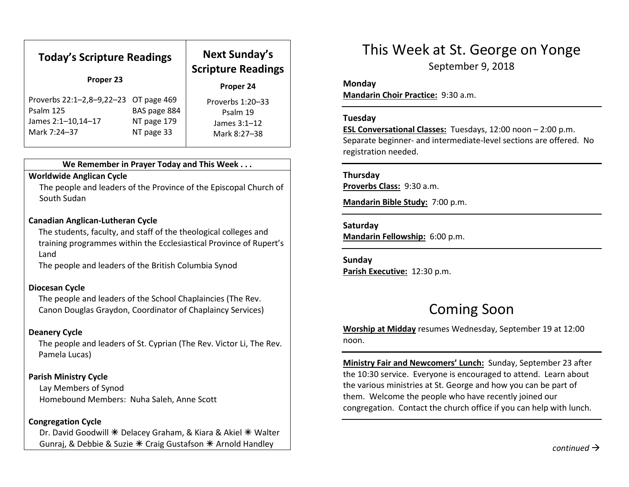| <b>Today's Scripture Readings</b><br>Proper 23                                           |                                           | <b>Next Sunday's</b><br><b>Scripture Readings</b>            |
|------------------------------------------------------------------------------------------|-------------------------------------------|--------------------------------------------------------------|
|                                                                                          |                                           | Proper 24                                                    |
| Proverbs 22:1-2,8-9,22-23 OT page 469<br>Psalm 125<br>James 2:1-10,14-17<br>Mark 7:24-37 | BAS page 884<br>NT page 179<br>NT page 33 | Proverbs 1:20-33<br>Psalm 19<br>James 3:1-12<br>Mark 8:27-38 |

#### We Remember in Prayer Today and This Week . . .

### Worldwide Anglican Cycle

 The people and leaders of the Province of the Episcopal Church of South Sudan

#### Canadian Anglican-Lutheran Cycle

The students, faculty, and staff of the theological colleges and training programmes within the Ecclesiastical Province of Rupert's Land

The people and leaders of the British Columbia Synod

#### Diocesan Cycle

The people and leaders of the School Chaplaincies (The Rev. Canon Douglas Graydon, Coordinator of Chaplaincy Services)

## Deanery Cycle

The people and leaders of St. Cyprian (The Rev. Victor Li, The Rev. Pamela Lucas)

## Parish Ministry Cycle

Lay Members of Synod Homebound Members: Nuha Saleh, Anne Scott

#### Congregation Cycle

Dr. David Goodwill  $*$  Delacey Graham, & Kiara & Akiel  $*$  Walter Gunraj, & Debbie & Suzie  $*$  Craig Gustafson  $*$  Arnold Handley

# This Week at St. George on Yonge

September 9, 2018

#### Monday

Mandarin Choir Practice: 9:30 a.m.

#### Tuesday

ESL Conversational Classes: Tuesdays, 12:00 noon – 2:00 p.m. Separate beginner- and intermediate-level sections are offered. No registration needed.

### Thursday

Proverbs Class: 9:30 a.m.

Mandarin Bible Study: 7:00 p.m.

#### Saturday

Mandarin Fellowship: 6:00 p.m.

Sunday Parish Executive: 12:30 p.m.

# Coming Soon

Worship at Midday resumes Wednesday, September 19 at 12:00 noon.

Ministry Fair and Newcomers' Lunch: Sunday, September 23 after the 10:30 service. Everyone is encouraged to attend. Learn about the various ministries at St. George and how you can be part of them. Welcome the people who have recently joined our congregation. Contact the church office if you can help with lunch.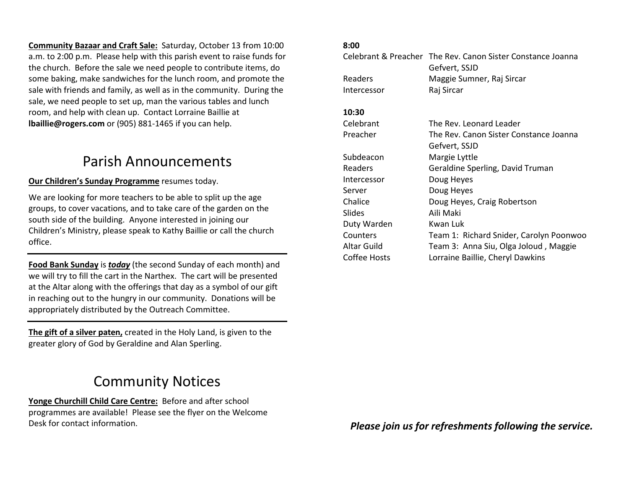Community Bazaar and Craft Sale: Saturday, October 13 from 10:00 a.m. to 2:00 p.m. Please help with this parish event to raise funds for the church. Before the sale we need people to contribute items, do some baking, make sandwiches for the lunch room, and promote the sale with friends and family, as well as in the community. During the sale, we need people to set up, man the various tables and lunch room, and help with clean up. Contact Lorraine Baillie at lbaillie@rogers.com or (905) 881-1465 if you can help.

# Parish Announcements

# Our Children's Sunday Programme resumes today.

We are looking for more teachers to be able to split up the age groups, to cover vacations, and to take care of the garden on the south side of the building. Anyone interested in joining our Children's Ministry, please speak to Kathy Baillie or call the church office.

Food Bank Sunday is *today* (the second Sunday of each month) and we will try to fill the cart in the Narthex. The cart will be presented at the Altar along with the offerings that day as a symbol of our gift in reaching out to the hungry in our community. Donations will be appropriately distributed by the Outreach Committee.

The gift of a silver paten, created in the Holy Land, is given to the greater glory of God by Geraldine and Alan Sperling.

# Community Notices

Yonge Churchill Child Care Centre: Before and after school programmes are available! Please see the flyer on the Welcome Desk for contact information.

## 8:00

|               | Celebrant & Preacher The Rev. Canon Sister Constance Joanna<br>Gefvert, SSJD |
|---------------|------------------------------------------------------------------------------|
| Readers       | Maggie Sumner, Raj Sircar                                                    |
| Intercessor   | Raj Sircar                                                                   |
| 10:30         |                                                                              |
| Celebrant     | The Rev. Leonard Leader                                                      |
| Preacher      | The Rev. Canon Sister Constance Joanna                                       |
|               | Gefvert, SSJD                                                                |
| Subdeacon     | Margie Lyttle                                                                |
| Readers       | Geraldine Sperling, David Truman                                             |
| Intercessor   | Doug Heyes                                                                   |
| Server        | Doug Heyes                                                                   |
| Chalice       | Doug Heyes, Craig Robertson                                                  |
| <b>Slides</b> | Aili Maki                                                                    |
| Duty Warden   | Kwan Luk                                                                     |
| Counters      | Team 1: Richard Snider, Carolyn Poonwoo                                      |
| Altar Guild   | Team 3: Anna Siu, Olga Joloud, Maggie                                        |
| Coffee Hosts  | Lorraine Baillie, Cheryl Dawkins                                             |
|               |                                                                              |

Please join us for refreshments following the service.